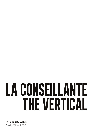## LA CONSEILLANTE THE VERTICAL

**ROBERSON WINE** Thursday 29th March 2012